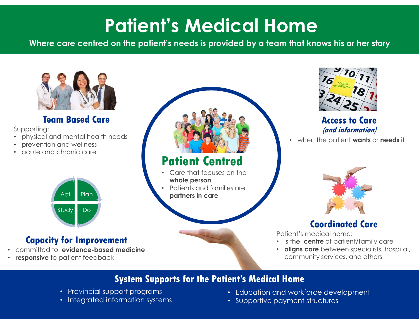# Patient's Medical Home **Patient's Medical Home**<br>Where care centred on the patient's needs is provided by a team that knows his or her story



### Team Based Care

Supporting:

- physical and mental health needs
- prevention and wellness
- acute and chronic care



## Capacity for Improvement

- committed to evidence-based medicine
- responsive to patient feedback



# Patient Centred

- Care that focuses on the whole person
- Patients and families are partners in care Plan



### Access to Care (and information)

when the patient **wants** or **needs** it



# Coordinated Care

Patient's medical home:

- is the centre of patient/family care
- **aligns care** between specialists, hospital, community services, and others

# System Supports for the Patient's Medical Home

- Provincial support programs
- Integrated information systems
- Education and workforce development
- Supportive payment structures